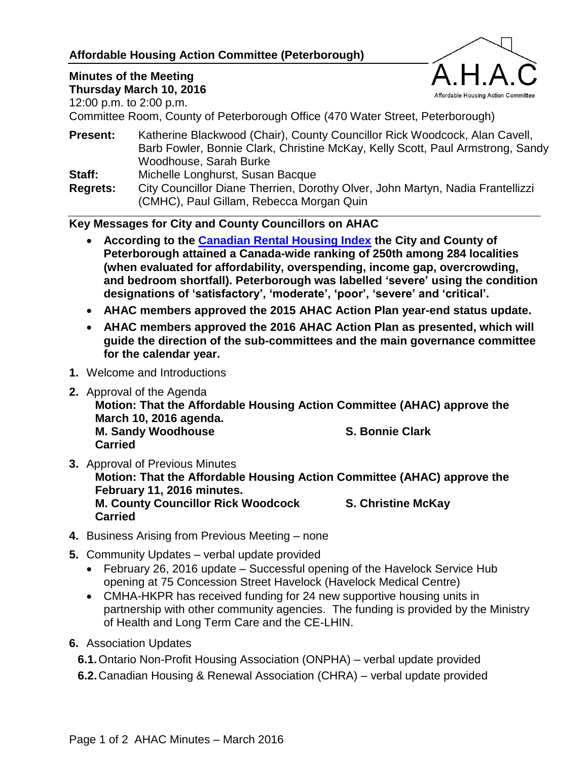# **Affordable Housing Action Committee (Peterborough)**

# **Minutes of the Meeting**

**Thursday March 10, 2016**

12:00 p.m. to 2:00 p.m.



Committee Room, County of Peterborough Office (470 Water Street, Peterborough)

**Present:** Katherine Blackwood (Chair), County Councillor Rick Woodcock, Alan Cavell, Barb Fowler, Bonnie Clark, Christine McKay, Kelly Scott, Paul Armstrong, Sandy Woodhouse, Sarah Burke

**Staff:** Michelle Longhurst, Susan Bacque

**Regrets:** City Councillor Diane Therrien, Dorothy Olver, John Martyn, Nadia Frantellizzi (CMHC), Paul Gillam, Rebecca Morgan Quin

**Key Messages for City and County Councillors on AHAC**

- **According to the [Canadian Rental Housing Index](http://rentalhousingindex.ca/) the City and County of Peterborough attained a Canada-wide ranking of 250th among 284 localities (when evaluated for affordability, overspending, income gap, overcrowding, and bedroom shortfall). Peterborough was labelled 'severe' using the condition designations of 'satisfactory', 'moderate', 'poor', 'severe' and 'critical'.**
- **AHAC members approved the 2015 AHAC Action Plan year-end status update.**
- **AHAC members approved the 2016 AHAC Action Plan as presented, which will guide the direction of the sub-committees and the main governance committee for the calendar year.**
- **1.** Welcome and Introductions
- **2.** Approval of the Agenda

**Motion: That the Affordable Housing Action Committee (AHAC) approve the March 10, 2016 agenda. M. Sandy Woodhouse S. Bonnie Clark Carried**

- **3.** Approval of Previous Minutes **Motion: That the Affordable Housing Action Committee (AHAC) approve the February 11, 2016 minutes. M. County Councillor Rick Woodcock S. Christine McKay Carried**
- **4.** Business Arising from Previous Meeting none
- **5.** Community Updates verbal update provided
	- February 26, 2016 update Successful opening of the Havelock Service Hub opening at 75 Concession Street Havelock (Havelock Medical Centre)
	- CMHA-HKPR has received funding for 24 new supportive housing units in partnership with other community agencies. The funding is provided by the Ministry of Health and Long Term Care and the CE-LHIN.
- **6.** Association Updates

**6.1.**Ontario Non-Profit Housing Association (ONPHA) – verbal update provided

**6.2.**Canadian Housing & Renewal Association (CHRA) – verbal update provided